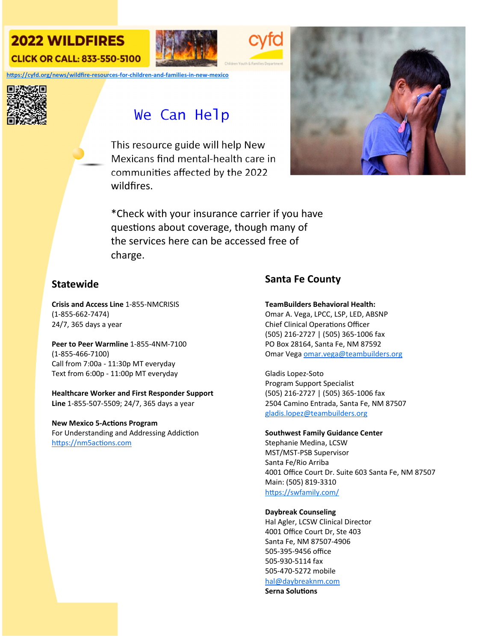## **2022 WILDFIRES CLICK OR CALL: 833-550-5100**





**hƩps://cyfd.org/news/wildfire‐resources‐for‐children‐and‐families‐in‐new‐mexico**



# We Can Help

This resource guide will help New Mexicans find mental‐health care in communities affected by the 2022 wildfires.



\*Check with your insurance carrier if you have questions about coverage, though many of the services here can be accessed free of charge.

## **Statewide**

**Crisis and Access Line** 1‐855‐NMCRISIS (1‐855‐662‐7474) 24/7, 365 days a year

**Peer to Peer Warmline** 1‐855‐4NM‐7100 (1‐855‐466‐7100) Call from 7:00a ‐ 11:30p MT everyday Text from 6:00p ‐ 11:00p MT everyday

**Healthcare Worker and First Responder Support Line** 1‐855‐507‐5509; 24/7, 365 days a year

**New Mexico 5‐AcƟons Program** For Understanding and Addressing Addiction https://nm5actions.com

## **Santa Fe County**

**TeamBuilders Behavioral Health:** 

Omar A. Vega, LPCC, LSP, LED, ABSNP Chief Clinical Operations Officer (505) 216‐2727 | (505) 365‐1006 fax PO Box 28164, Santa Fe, NM 87592 Omar Vega omar.vega@teambuilders.org

Gladis Lopez‐Soto Program Support Specialist (505) 216‐2727 | (505) 365‐1006 fax 2504 Camino Entrada, Santa Fe, NM 87507 gladis.lopez@teambuilders.org

#### **Southwest Family Guidance Center**

Stephanie Medina, LCSW MST/MST‐PSB Supervisor Santa Fe/Rio Arriba 4001 Office Court Dr. Suite 603 Santa Fe, NM 87507 Main: (505) 819‐3310 https://swfamily.com/

#### **Daybreak Counseling**

Hal Agler, LCSW Clinical Director 4001 Office Court Dr, Ste 403 Santa Fe, NM 87507‐4906 505‐395‐9456 office 505‐930‐5114 fax 505‐470‐5272 mobile hal@daybreaknm.com

**Serna SoluƟons**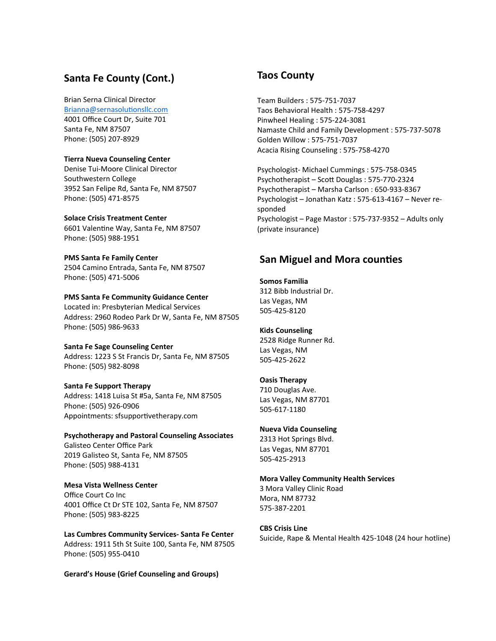### **Santa Fe County (Cont.)**

Brian Serna Clinical Director Brianna@sernasolutionsllc.com 4001 Office Court Dr, Suite 701 Santa Fe, NM 87507 Phone: (505) 207‐8929

#### **Tierra Nueva Counseling Center**

Denise Tui‐Moore Clinical Director Southwestern College 3952 San Felipe Rd, Santa Fe, NM 87507 Phone: (505) 471‐8575

**Solace Crisis Treatment Center** 6601 Valentine Way, Santa Fe, NM 87507 Phone: (505) 988‐1951

**PMS Santa Fe Family Center** 2504 Camino Entrada, Santa Fe, NM 87507 Phone: (505) 471‐5006

#### **PMS Santa Fe Community Guidance Center**

Located in: Presbyterian Medical Services Address: 2960 Rodeo Park Dr W, Santa Fe, NM 87505 Phone: (505) 986‐9633

#### **Santa Fe Sage Counseling Center**

Address: 1223 S St Francis Dr, Santa Fe, NM 87505 Phone: (505) 982‐8098

#### **Santa Fe Support Therapy**

Address: 1418 Luisa St #5a, Santa Fe, NM 87505 Phone: (505) 926‐0906 Appointments: sfsupportivetherapy.com

#### **Psychotherapy and Pastoral Counseling Associates**

Galisteo Center Office Park 2019 Galisteo St, Santa Fe, NM 87505 Phone: (505) 988‐4131

#### **Mesa Vista Wellness Center**

Office Court Co Inc 4001 Office Ct Dr STE 102, Santa Fe, NM 87507 Phone: (505) 983‐8225

**Las Cumbres Community Services‐ Santa Fe Center** Address: 1911 5th St Suite 100, Santa Fe, NM 87505 Phone: (505) 955‐0410

**Gerard's House (Grief Counseling and Groups)**

## **Taos County**

Team Builders : 575‐751‐7037 Taos Behavioral Health : 575‐758‐4297 Pinwheel Healing : 575‐224‐3081 Namaste Child and Family Development : 575‐737‐5078 Golden Willow : 575‐751‐7037 Acacia Rising Counseling : 575‐758‐4270

Psychologist‐ Michael Cummings : 575‐758‐0345 Psychotherapist – ScoƩ Douglas : 575‐770‐2324 Psychotherapist – Marsha Carlson : 650‐933‐8367 Psychologist – Jonathan Katz : 575‐613‐4167 – Never re‐ sponded Psychologist – Page Mastor : 575‐737‐9352 – Adults only (private insurance)

### **San Miguel and Mora counties**

## **Somos Familia**

312 Bibb Industrial Dr. Las Vegas, NM 505‐425‐8120

#### **Kids Counseling**

2528 Ridge Runner Rd. Las Vegas, NM 505‐425‐2622

#### **Oasis Therapy**

710 Douglas Ave. Las Vegas, NM 87701 505‐617‐1180

#### **Nueva Vida Counseling**

2313 Hot Springs Blvd. Las Vegas, NM 87701 505‐425‐2913

#### **Mora Valley Community Health Services**

3 Mora Valley Clinic Road Mora, NM 87732 575‐387‐2201

#### **CBS Crisis Line**

Suicide, Rape & Mental Health 425‐1048 (24 hour hotline)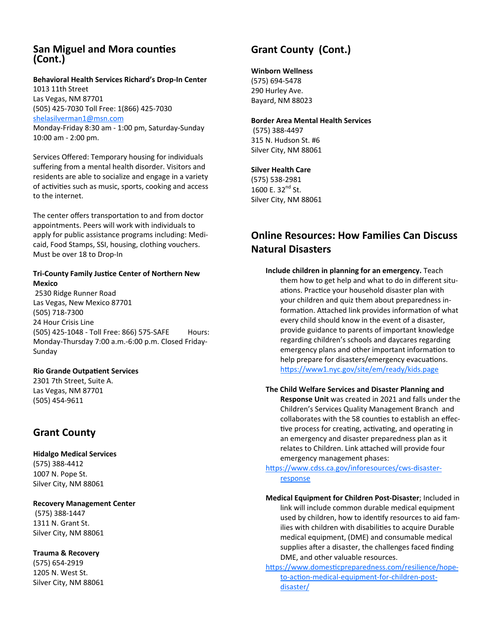### **San Miguel and Mora counƟes (Cont.)**

### **Behavioral Health Services Richard's Drop‐In Center**

1013 11th Street Las Vegas, NM 87701 (505) 425‐7030 Toll Free: 1(866) 425‐7030 shelasilverman1@msn.com Monday‐Friday 8:30 am ‐ 1:00 pm, Saturday‐Sunday 10:00 am ‐ 2:00 pm.

Services Offered: Temporary housing for individuals suffering from a mental health disorder. Visitors and residents are able to socialize and engage in a variety of activities such as music, sports, cooking and access to the internet.

The center offers transportation to and from doctor appointments. Peers will work with individuals to apply for public assistance programs including: Medi‐ caid, Food Stamps, SSI, housing, clothing vouchers. Must be over 18 to Drop‐In

#### **Tri‐County Family JusƟce Center of Northern New Mexico**

2530 Ridge Runner Road Las Vegas, New Mexico 87701 (505) 718‐7300 24 Hour Crisis Line (505) 425‐1048 ‐ Toll Free: 866) 575‐SAFE Hours: Monday‐Thursday 7:00 a.m.‐6:00 p.m. Closed Friday‐ Sunday

#### **Rio Grande OutpaƟent Services**

2301 7th Street, Suite A. Las Vegas, NM 87701 (505) 454‐9611

## **Grant County**

**Hidalgo Medical Services**  (575) 388‐4412 1007 N. Pope St. Silver City, NM 88061

#### **Recovery Management Center**

(575) 388‐1447 1311 N. Grant St. Silver City, NM 88061

#### **Trauma & Recovery**

(575) 654‐2919 1205 N. West St. Silver City, NM 88061

## **Grant County (Cont.)**

#### **Winborn Wellness**

(575) 694‐5478 290 Hurley Ave. Bayard, NM 88023

#### **Border Area Mental Health Services**

(575) 388‐4497 315 N. Hudson St. #6 Silver City, NM 88061

#### **Silver Health Care**

(575) 538‐2981 1600 E. 32<sup>nd</sup> St. Silver City, NM 88061

## **Online Resources: How Families Can Discuss Natural Disasters**

**Include children in planning for an emergency.** Teach them how to get help and what to do in different situ‐ ations. Practice your household disaster plan with your children and quiz them about preparedness in‐ formation. Attached link provides information of what every child should know in the event of a disaster, provide guidance to parents of important knowledge regarding children's schools and daycares regarding emergency plans and other important information to help prepare for disasters/emergency evacuations. https://www1.nyc.gov/site/em/ready/kids.page

#### **The Child Welfare Services and Disaster Planning and Response Unit** was created in 2021 and falls under the Children's Services Quality Management Branch and

collaborates with the 58 counties to establish an effective process for creating, activating, and operating in an emergency and disaster preparedness plan as it relates to Children. Link attached will provide four emergency management phases:

https://www.cdss.ca.gov/inforesources/cws-disasterresponse

**Medical Equipment for Children Post‐Disaster**; Included in link will include common durable medical equipment used by children, how to identify resources to aid families with children with disabilities to acquire Durable medical equipment, (DME) and consumable medical supplies after a disaster, the challenges faced finding DME, and other valuable resources.

https://www.domesticpreparedness.com/resilience/hopeto-action-medical-equipment-for-children-postdisaster/